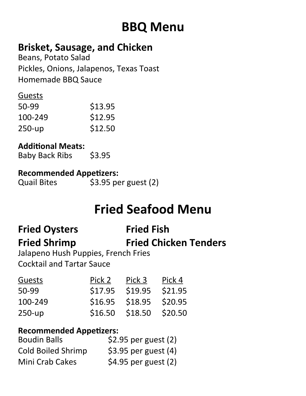# **BBQ Menu**

## **Brisket, Sausage, and Chicken**

Beans, Potato Salad Pickles, Onions, Jalapenos, Texas Toast Homemade BBQ Sauce

#### Guests

| 50-99   | \$13.95 |
|---------|---------|
| 100-249 | \$12.95 |
| 250-up  | \$12.50 |

#### **Additonal Meats:**

Baby Back Ribs \$3.95

#### **Recommended Appetzers:**

Quail Bites \$3.95 per guest (2)

# **Fried Seafood Menu**

# **Fried Oysters Fried Fish**

# **Fried Shrimp Fried Chicken Tenders**

Jalapeno Hush Puppies, French Fries Cocktail and Tartar Sauce

| Pick 2  | Pick 3  | Pick 4  |
|---------|---------|---------|
| \$17.95 | \$19.95 | \$21.95 |
| \$16.95 |         | \$20.95 |
| \$16.50 | \$18.50 | \$20.50 |
|         |         | \$18.95 |

#### **Recommended Appetzers:**

| <b>Boudin Balls</b>       | $$2.95$ per guest (2)  |
|---------------------------|------------------------|
| <b>Cold Boiled Shrimp</b> | \$3.95 per guest $(4)$ |
| <b>Mini Crab Cakes</b>    | \$4.95 per guest (2)   |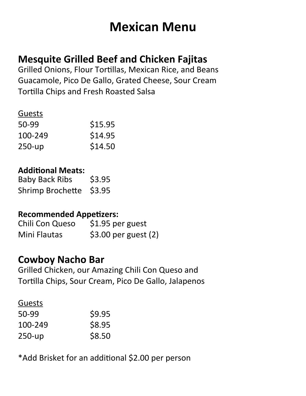## **Mexican Menu**

### **Mesquite Grilled Beef and Chicken Fajitas**

Grilled Onions, Flour Tortillas, Mexican Rice, and Beans Guacamole, Pico De Gallo, Grated Cheese, Sour Cream Tortilla Chips and Fresh Roasted Salsa

#### Guests

| 50-99   | \$15.95 |
|---------|---------|
| 100-249 | \$14.95 |
| 250-up  | \$14.50 |

#### **Additonal Meats:**

| <b>Baby Back Ribs</b>   | \$3.95 |
|-------------------------|--------|
| Shrimp Brochette \$3.95 |        |

#### **Recommended Appetzers:**

Chili Con Queso \$1.95 per guest Mini Flautas \$3.00 per guest (2)

### **Cowboy Nacho Bar**

Grilled Chicken, our Amazing Chili Con Queso and Tortilla Chips, Sour Cream, Pico De Gallo, Jalapenos

#### Guests

| 50-99   | \$9.95 |
|---------|--------|
| 100-249 | \$8.95 |
| 250-up  | \$8.50 |

\*Add Brisket for an additonal \$2.00 per person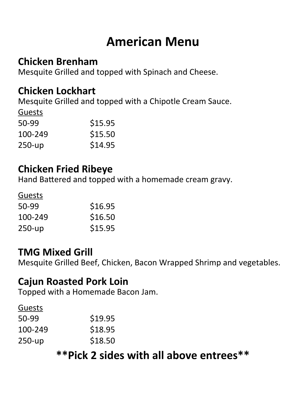## **American Menu**

### **Chicken Brenham**

Mesquite Grilled and topped with Spinach and Cheese.

### **Chicken Lockhart**

Mesquite Grilled and topped with a Chipotle Cream Sauce.

| <b>Guests</b> |         |
|---------------|---------|
| 50-99         | \$15.95 |
| 100-249       | \$15.50 |
| 250-up        | \$14.95 |

### **Chicken Fried Ribeye**

Hand Battered and topped with a homemade cream gravy.

Guests

| 50-99   | \$16.95 |
|---------|---------|
| 100-249 | \$16.50 |
| 250-up  | \$15.95 |

### **TMG Mixed Grill**

Mesquite Grilled Beef, Chicken, Bacon Wrapped Shrimp and vegetables.

### **Cajun Roasted Pork Loin**

Topped with a Homemade Bacon Jam.

#### Guests

| \$19.95 |
|---------|
| \$18.95 |
| \$18.50 |
|         |

## **\*\*Pick 2 sides with all above entrees\*\***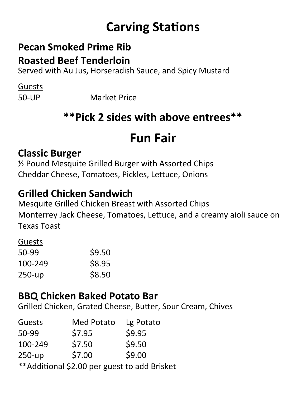# **Carving Stations**

# **Pecan Smoked Prime Rib**

**Roasted Beef Tenderloin**

Served with Au Jus, Horseradish Sauce, and Spicy Mustard

Guests

50-UP Market Price

## **\*\*Pick 2 sides with above entrees\*\***

## **Fun Fair**

### **Classic Burger**

½ Pound Mesquite Grilled Burger with Assorted Chips Cheddar Cheese, Tomatoes, Pickles, Letuce, Onions

### **Grilled Chicken Sandwich**

Mesquite Grilled Chicken Breast with Assorted Chips Monterrey Jack Cheese, Tomatoes, Letuce, and a creamy aioli sauce on Texas Toast

#### Guests

| 50-99   | \$9.50 |
|---------|--------|
| 100-249 | \$8.95 |
| 250-up  | \$8.50 |

### **BBQ Chicken Baked Potato Bar**

Grilled Chicken, Grated Cheese, Buter, Sour Cream, Chives

| Guests                                        | <b>Med Potato</b> | Lg Potato |
|-----------------------------------------------|-------------------|-----------|
| 50-99                                         | \$7.95            | \$9.95    |
| 100-249                                       | \$7.50            | \$9.50    |
| $250-up$                                      | \$7.00            | \$9.00    |
| ** Additional \$2.00 per guest to add Brisket |                   |           |